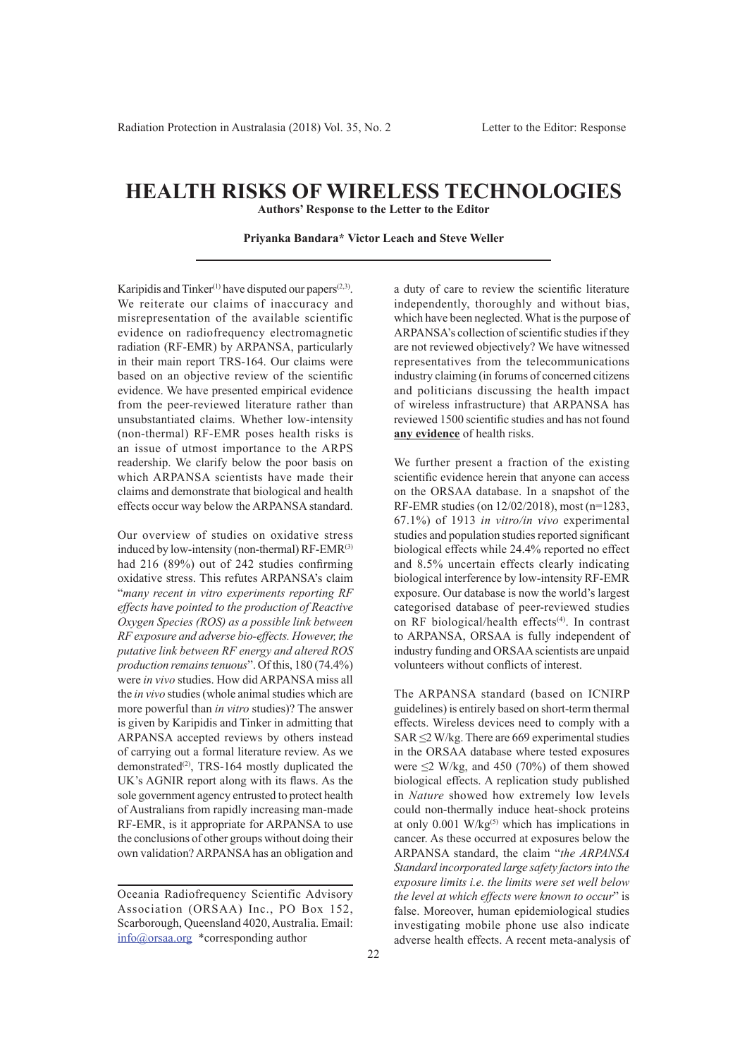## **HEALTH RISKS OF WIRELESS TECHNOLOGIES**

**Authors' Response to the Letter to the Editor**

## **Priyanka Bandara\* Victor Leach and Steve Weller**

Karipidis and Tinker<sup>(1)</sup> have disputed our papers<sup>(2,3)</sup>. We reiterate our claims of inaccuracy and misrepresentation of the available scientific evidence on radiofrequency electromagnetic radiation (RF-EMR) by ARPANSA, particularly in their main report TRS-164. Our claims were based on an objective review of the scientific evidence. We have presented empirical evidence from the peer-reviewed literature rather than unsubstantiated claims. Whether low-intensity (non-thermal) RF-EMR poses health risks is an issue of utmost importance to the ARPS readership. We clarify below the poor basis on which ARPANSA scientists have made their claims and demonstrate that biological and health effects occur way below the ARPANSA standard.

Our overview of studies on oxidative stress induced by low-intensity (non-thermal)  $RF-EMR^{(3)}$ had  $216$  (89%) out of 242 studies confirming oxidative stress. This refutes ARPANSA's claim "*many recent in vitro experiments reporting RF effects have pointed to the production of Reactive Oxygen Species (ROS) as a possible link between RF exposure and adverse bio-effects. However, the putative link between RF energy and altered ROS production remains tenuous*". Of this, 180 (74.4%) were *in vivo* studies. How did ARPANSA miss all the *in vivo* studies (whole animal studies which are more powerful than *in vitro* studies)? The answer is given by Karipidis and Tinker in admitting that ARPANSA accepted reviews by others instead of carrying out a formal literature review. As we demonstrated<sup>(2)</sup>, TRS-164 mostly duplicated the UK's AGNIR report along with its flaws. As the sole government agency entrusted to protect health of Australians from rapidly increasing man-made RF-EMR, is it appropriate for ARPANSA to use the conclusions of other groups without doing their own validation? ARPANSA has an obligation and

a duty of care to review the scientific literature independently, thoroughly and without bias, which have been neglected. What is the purpose of ARPANSA's collection of scientific studies if they are not reviewed objectively? We have witnessed representatives from the telecommunications industry claiming (in forums of concerned citizens and politicians discussing the health impact of wireless infrastructure) that ARPANSA has reviewed 1500 scientific studies and has not found **any evidence** of health risks.

We further present a fraction of the existing scientific evidence herein that anyone can access on the ORSAA database. In a snapshot of the RF-EMR studies (on 12/02/2018), most (n=1283, 67.1%) of 1913 *in vitro/in vivo* experimental studies and population studies reported significant biological effects while 24.4% reported no effect and 8.5% uncertain effects clearly indicating biological interference by low-intensity RF-EMR exposure. Our database is now the world's largest categorised database of peer-reviewed studies on RF biological/health effects<sup>(4)</sup>. In contrast to ARPANSA, ORSAA is fully independent of industry funding and ORSAA scientists are unpaid volunteers without conflicts of interest.

The ARPANSA standard (based on ICNIRP guidelines) is entirely based on short-term thermal effects. Wireless devices need to comply with a SAR  $\leq$ 2 W/kg. There are 669 experimental studies in the ORSAA database where tested exposures were  $\leq$ 2 W/kg, and 450 (70%) of them showed biological effects. A replication study published in *Nature* showed how extremely low levels could non-thermally induce heat-shock proteins at only  $0.001$  W/kg<sup>(5)</sup> which has implications in cancer. As these occurred at exposures below the ARPANSA standard, the claim "*the ARPANSA Standard incorporated large safety factors into the exposure limits i.e. the limits were set well below the level at which effects were known to occur*" is false. Moreover, human epidemiological studies investigating mobile phone use also indicate adverse health effects. A recent meta-analysis of

Oceania Radiofrequency Scientific Advisory Association (ORSAA) Inc., PO Box 152, Scarborough, Queensland 4020, Australia. Email: info@orsaa.org \*corresponding author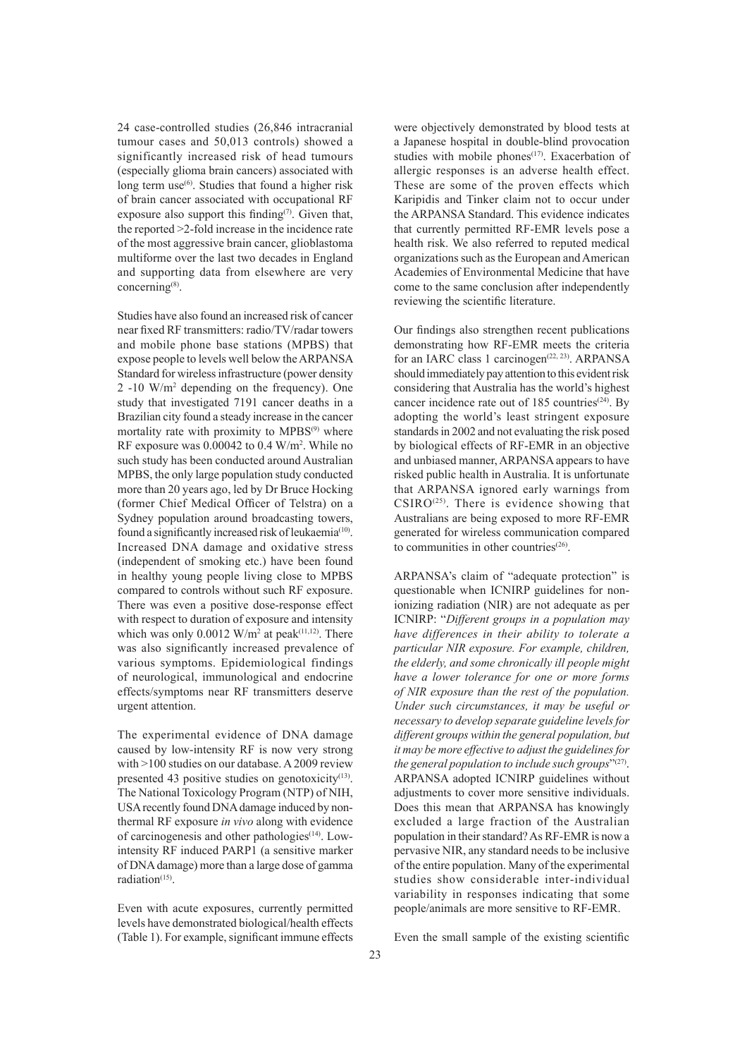24 case-controlled studies (26,846 intracranial tumour cases and 50,013 controls) showed a significantly increased risk of head tumours (especially glioma brain cancers) associated with long term use $^{(6)}$ . Studies that found a higher risk of brain cancer associated with occupational RF exposure also support this finding<sup> $(7)$ </sup>. Given that, the reported >2-fold increase in the incidence rate of the most aggressive brain cancer, glioblastoma multiforme over the last two decades in England and supporting data from elsewhere are very concerning(8).

Studies have also found an increased risk of cancer near fixed RF transmitters: radio/TV/radar towers and mobile phone base stations (MPBS) that expose people to levels well below the ARPANSA Standard for wireless infrastructure (power density 2 -10 W/m2 depending on the frequency). One study that investigated 7191 cancer deaths in a Brazilian city found a steady increase in the cancer mortality rate with proximity to  $MPBS<sup>(9)</sup>$  where RF exposure was 0.00042 to 0.4 W/m<sup>2</sup>. While no such study has been conducted around Australian MPBS, the only large population study conducted more than 20 years ago, led by Dr Bruce Hocking (former Chief Medical Officer of Telstra) on a Sydney population around broadcasting towers, found a significantly increased risk of leukaemia<sup>(10)</sup>. Increased DNA damage and oxidative stress (independent of smoking etc.) have been found in healthy young people living close to MPBS compared to controls without such RF exposure. There was even a positive dose-response effect with respect to duration of exposure and intensity which was only  $0.0012$  W/m<sup>2</sup> at peak<sup>(11,12)</sup>. There was also significantly increased prevalence of various symptoms. Epidemiological findings of neurological, immunological and endocrine effects/symptoms near RF transmitters deserve urgent attention.

The experimental evidence of DNA damage caused by low-intensity RF is now very strong with >100 studies on our database. A 2009 review presented 43 positive studies on genotoxicity $(13)$ . The National Toxicology Program (NTP) of NIH, USA recently found DNA damage induced by nonthermal RF exposure *in vivo* along with evidence of carcinogenesis and other pathologies(14). Lowintensity RF induced PARP1 (a sensitive marker of DNA damage) more than a large dose of gamma  $radiation<sup>(15)</sup>$ .

Even with acute exposures, currently permitted levels have demonstrated biological/health effects (Table 1). For example, significant immune effects were objectively demonstrated by blood tests at a Japanese hospital in double-blind provocation studies with mobile phones<sup>(17)</sup>. Exacerbation of allergic responses is an adverse health effect. These are some of the proven effects which Karipidis and Tinker claim not to occur under the ARPANSA Standard. This evidence indicates that currently permitted RF-EMR levels pose a health risk. We also referred to reputed medical organizations such as the European and American Academies of Environmental Medicine that have come to the same conclusion after independently reviewing the scientific literature.

Our findings also strengthen recent publications demonstrating how RF-EMR meets the criteria for an IARC class 1 carcinogen<sup>(22, 23)</sup>. ARPANSA should immediately pay attention to this evident risk considering that Australia has the world's highest cancer incidence rate out of  $185$  countries<sup> $(24)$ </sup>. By adopting the world's least stringent exposure standards in 2002 and not evaluating the risk posed by biological effects of RF-EMR in an objective and unbiased manner, ARPANSA appears to have risked public health in Australia. It is unfortunate that ARPANSA ignored early warnings from  $CSIRO^{(25)}$ . There is evidence showing that Australians are being exposed to more RF-EMR generated for wireless communication compared to communities in other countries $(26)$ .

ARPANSA's claim of "adequate protection" is questionable when ICNIRP guidelines for nonionizing radiation (NIR) are not adequate as per ICNIRP: "*Different groups in a population may have differences in their ability to tolerate a particular NIR exposure. For example, children, the elderly, and some chronically ill people might have a lower tolerance for one or more forms of NIR exposure than the rest of the population. Under such circumstances, it may be useful or necessary to develop separate guideline levels for different groups within the general population, but it may be more effective to adjust the guidelines for the general population to include such groups*"(27). ARPANSA adopted ICNIRP guidelines without adjustments to cover more sensitive individuals. Does this mean that ARPANSA has knowingly excluded a large fraction of the Australian population in their standard? As RF-EMR is now a pervasive NIR, any standard needs to be inclusive of the entire population. Many of the experimental studies show considerable inter-individual variability in responses indicating that some people/animals are more sensitive to RF-EMR.

Even the small sample of the existing scientific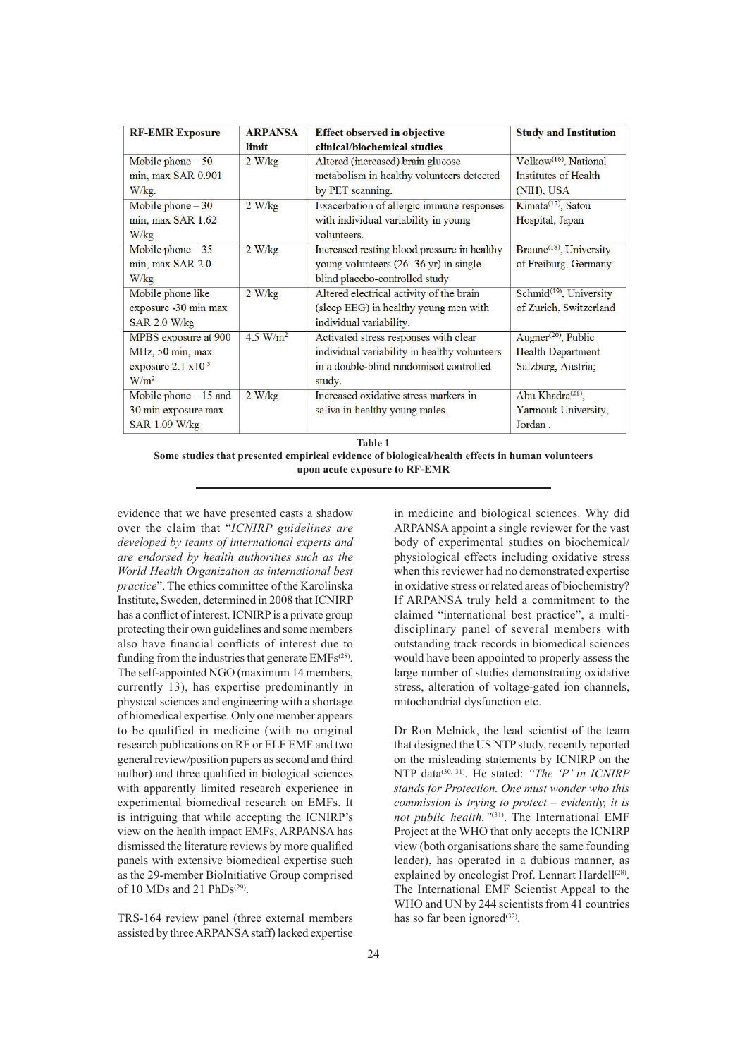| <b>RF-EMR Exposure</b>          | <b>ARPANSA</b> | <b>Effect observed in objective</b>          | <b>Study and Institution</b>                 |
|---------------------------------|----------------|----------------------------------------------|----------------------------------------------|
|                                 | limit          | clinical/biochemical studies                 |                                              |
| Mobile phone $-50$              | 2 W/kg         | Altered (increased) brain glucose            | Volkow <sup>(16)</sup> , National            |
| min, max SAR 0.901              |                | metabolism in healthy volunteers detected    | Institutes of Health                         |
| $W/kg$ .                        |                | by PET scanning.                             | (NIH), USA                                   |
| Mobile phone $-30$              | 2 W/kg         | Exacerbation of allergic immune responses    | Kimata <sup>(17)</sup> , Satou               |
| $min$ , $max$ SAR 1.62          |                | with individual variability in young         | Hospital, Japan                              |
| W/kg                            |                | volunteers.                                  |                                              |
| Mobile phone $-35$              | 2 W/kg         | Increased resting blood pressure in healthy  | Braune <sup>(18)</sup> , University          |
| min, max SAR 2.0                |                | young volunteers $(26 - 36$ yr) in single-   | of Freiburg, Germany                         |
| W/kg                            |                | blind placebo-controlled study               |                                              |
| Mobile phone like               | 2 W/kg         | Altered electrical activity of the brain     | Schmid <sup>(19)</sup> , University          |
| exposure -30 min max            |                | (sleep EEG) in healthy young men with        | of Zurich, Switzerland                       |
| SAR 2.0 W/kg                    |                | individual variability.                      |                                              |
| MPBS exposure at 900            | 4.5 $W/m^2$    | Activated stress responses with clear        | Augner <sup><math>(20)</math></sup> , Public |
| MHz, 50 min, max                |                | individual variability in healthy volunteers | <b>Health Department</b>                     |
| exposure $2.1 \text{ x}10^{-3}$ |                | in a double-blind randomised controlled      | Salzburg, Austria;                           |
| $W/m^2$                         |                | study.                                       |                                              |
| Mobile phone $-15$ and          | 2 W/kg         | Increased oxidative stress markers in        | Abu Khadra <sup>(21)</sup> ,                 |
| 30 min exposure max             |                | saliva in healthy young males.               | Yarmouk University,                          |
| SAR 1.09 W/kg                   |                |                                              | Jordan.                                      |

**Table 1**

**Some studies that presented empirical evidence of biological/health effects in human volunteers upon acute exposure to RF-EMR**

evidence that we have presented casts a shadow over the claim that "*ICNIRP guidelines are developed by teams of international experts and are endorsed by health authorities such as the World Health Organization as international best practice*". The ethics committee of the Karolinska Institute, Sweden, determined in 2008 that ICNIRP has a conflict of interest. ICNIRP is a private group protecting their own guidelines and some members also have financial conflicts of interest due to funding from the industries that generate  $EMFs^{(28)}$ . The self-appointed NGO (maximum 14 members, currently 13), has expertise predominantly in physical sciences and engineering with a shortage of biomedical expertise. Only one member appears to be qualified in medicine (with no original research publications on RF or ELF EMF and two general review/position papers as second and third author) and three qualified in biological sciences with apparently limited research experience in experimental biomedical research on EMFs. It is intriguing that while accepting the ICNIRP's view on the health impact EMFs, ARPANSA has dismissed the literature reviews by more qualified panels with extensive biomedical expertise such as the 29-member BioInitiative Group comprised of 10 MDs and 21  $PhDs<sup>(29)</sup>$ .

TRS-164 review panel (three external members assisted by three ARPANSA staff) lacked expertise

in medicine and biological sciences. Why did ARPANSA appoint a single reviewer for the vast body of experimental studies on biochemical/ physiological effects including oxidative stress when this reviewer had no demonstrated expertise in oxidative stress or related areas of biochemistry? If ARPANSA truly held a commitment to the claimed "international best practice", a multidisciplinary panel of several members with outstanding track records in biomedical sciences would have been appointed to properly assess the large number of studies demonstrating oxidative stress, alteration of voltage-gated ion channels, mitochondrial dysfunction etc.

Dr Ron Melnick, the lead scientist of the team that designed the US NTP study, recently reported on the misleading statements by ICNIRP on the NTP data(30, 31). He stated: *"The 'P' in ICNIRP stands for Protection. One must wonder who this commission is trying to protect – evidently, it is not public health."*(31). The International EMF Project at the WHO that only accepts the ICNIRP view (both organisations share the same founding leader), has operated in a dubious manner, as explained by oncologist Prof. Lennart Hardell<sup>(28)</sup>. The International EMF Scientist Appeal to the WHO and UN by 244 scientists from 41 countries has so far been ignored $(32)$ .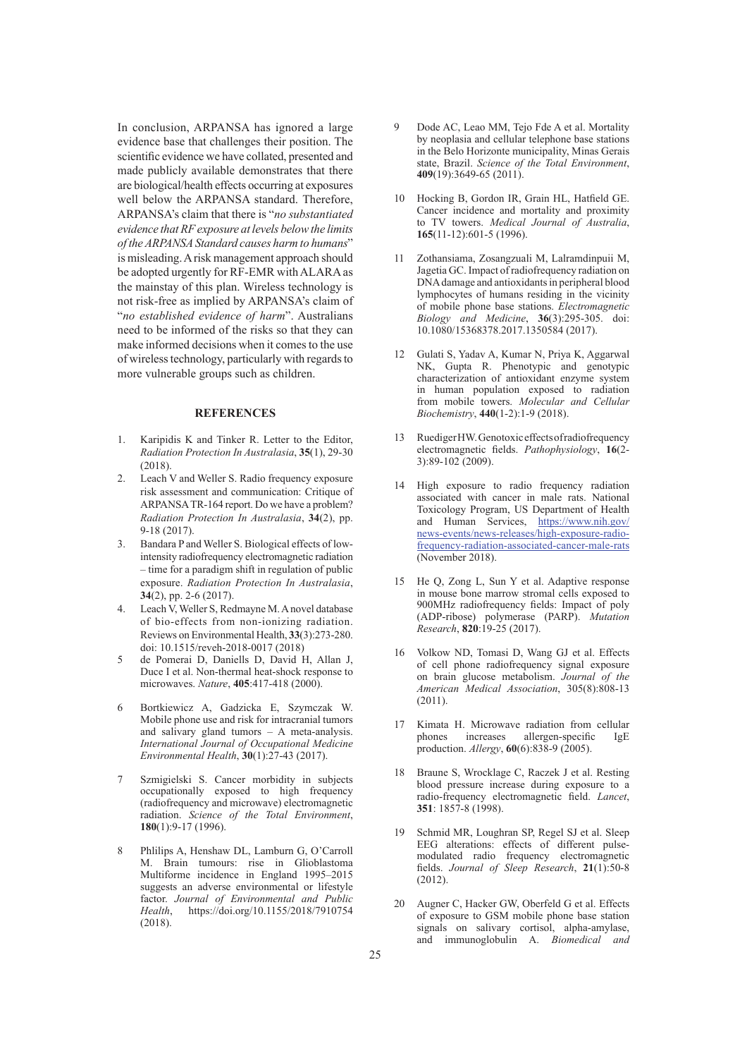In conclusion, ARPANSA has ignored a large evidence base that challenges their position. The scientific evidence we have collated, presented and made publicly available demonstrates that there are biological/health effects occurring at exposures well below the ARPANSA standard. Therefore, ARPANSA's claim that there is "*no substantiated evidence that RF exposure at levels below the limits of the ARPANSA Standard causes harm to humans*" is misleading. A risk management approach should be adopted urgently for RF-EMR with ALARA as the mainstay of this plan. Wireless technology is not risk-free as implied by ARPANSA's claim of "*no established evidence of harm*". Australians need to be informed of the risks so that they can make informed decisions when it comes to the use of wireless technology, particularly with regards to more vulnerable groups such as children.

## **REFERENCES**

- 1. Karipidis K and Tinker R. Letter to the Editor, *Radiation Protection In Australasia*, **35**(1), 29-30 (2018).
- 2. Leach V and Weller S. Radio frequency exposure risk assessment and communication: Critique of ARPANSA TR-164 report. Do we have a problem? *Radiation Protection In Australasia*, **34**(2), pp. 9-18 (2017).
- 3. Bandara P and Weller S. Biological effects of lowintensity radiofrequency electromagnetic radiation – time for a paradigm shift in regulation of public exposure. *Radiation Protection In Australasia*, **34**(2), pp. 2-6 (2017).
- 4. Leach V, Weller S, Redmayne M. A novel database of bio-effects from non-ionizing radiation. Reviews on Environmental Health, **33**(3):273-280. doi: 10.1515/reveh-2018-0017 (2018)
- 5 de Pomerai D, Daniells D, David H, Allan J, Duce I et al. Non-thermal heat-shock response to microwaves. *Nature*, **405**:417-418 (2000).
- 6 Bortkiewicz A, Gadzicka E, Szymczak W. Mobile phone use and risk for intracranial tumors and salivary gland tumors – A meta-analysis. *International Journal of Occupational Medicine Environmental Health*, **30**(1):27-43 (2017).
- 7 Szmigielski S. Cancer morbidity in subjects occupationally exposed to high frequency (radiofrequency and microwave) electromagnetic radiation. *Science of the Total Environment*, **180**(1):9-17 (1996).
- 8 Phlilips A, Henshaw DL, Lamburn G, O'Carroll M. Brain tumours: rise in Glioblastoma Multiforme incidence in England 1995–2015 suggests an adverse environmental or lifestyle factor. *Journal of Environmental and Public Health*, https://doi.org/10.1155/2018/7910754 (2018).
- Dode AC, Leao MM, Tejo Fde A et al. Mortality by neoplasia and cellular telephone base stations in the Belo Horizonte municipality, Minas Gerais state, Brazil. *Science of the Total Environment*, **409**(19):3649-65 (2011).
- 10 Hocking B, Gordon IR, Grain HL, Hatfield GE. Cancer incidence and mortality and proximity to TV towers. *Medical Journal of Australia*, **165**(11-12):601-5 (1996).
- 11 Zothansiama, Zosangzuali M, Lalramdinpuii M, Jagetia GC. Impact of radiofrequency radiation on DNA damage and antioxidants in peripheral blood lymphocytes of humans residing in the vicinity of mobile phone base stations. *Electromagnetic Biology and Medicine*, **36**(3):295-305. doi: 10.1080/15368378.2017.1350584 (2017).
- 12 Gulati S, Yadav A, Kumar N, Priya K, Aggarwal NK, Gupta R. Phenotypic and genotypic characterization of antioxidant enzyme system in human population exposed to radiation from mobile towers. *Molecular and Cellular Biochemistry*, **440**(1-2):1-9 (2018).
- 13 Ruediger HW. Genotoxic effects of radiofrequency electromagnetic fields. *Pathophysiology*, 16(2-3):89-102 (2009).
- 14 High exposure to radio frequency radiation associated with cancer in male rats. National Toxicology Program, US Department of Health and Human Services, https://www.nih.gov/ news-events/news-releases/high-exposure-radiofrequency-radiation-associated-cancer-male-rats (November 2018).
- 15 He Q, Zong L, Sun Y et al. Adaptive response in mouse bone marrow stromal cells exposed to 900MHz radiofrequency fields: Impact of poly (ADP-ribose) polymerase (PARP). *Mutation Research*, **820**:19-25 (2017).
- 16 Volkow ND, Tomasi D, Wang GJ et al. Effects of cell phone radiofrequency signal exposure on brain glucose metabolism. *Journal of the American Medical Association*, 305(8):808-13 (2011).
- 17 Kimata H. Microwave radiation from cellular<br>phones increases allergen-specific IgE increases allergen-specific IgE production. *Allergy*, **60**(6):838-9 (2005).
- Braune S, Wrocklage C, Raczek J et al. Resting blood pressure increase during exposure to a radio-frequency electromagnetic field. *Lancet*, **351**: 1857-8 (1998).
- 19 Schmid MR, Loughran SP, Regel SJ et al. Sleep EEG alterations: effects of different pulsemodulated radio frequency electromagnetic fi elds. *Journal of Sleep Research*, **21**(1):50-8 (2012).
- 20 Augner C, Hacker GW, Oberfeld G et al. Effects of exposure to GSM mobile phone base station signals on salivary cortisol, alpha-amylase, and immunoglobulin A. *Biomedical and*